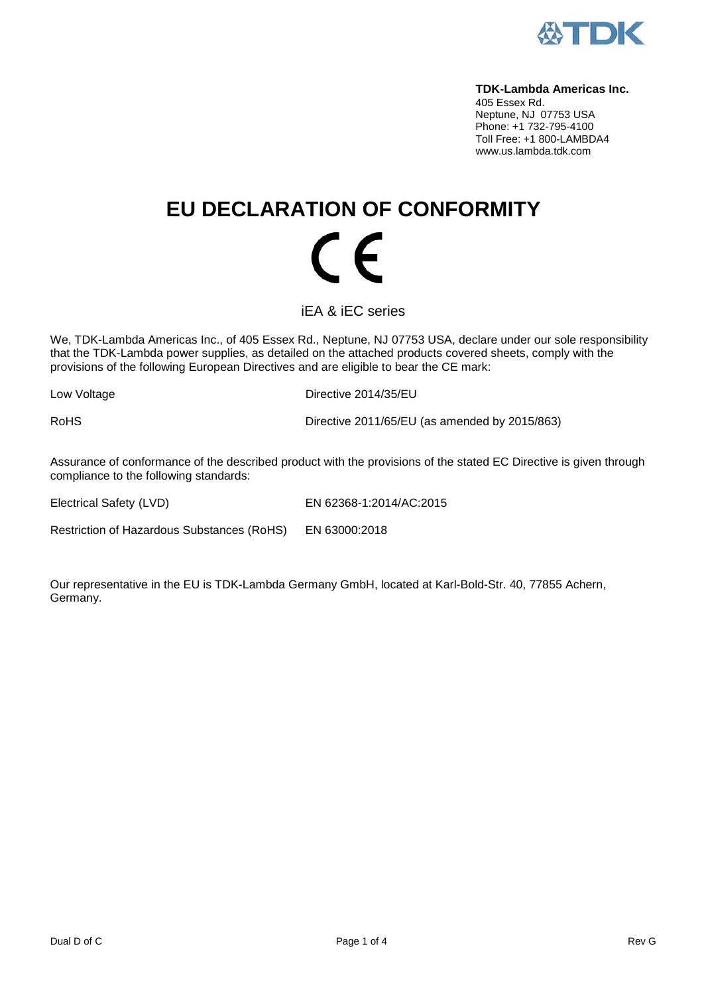

#### **TDK-Lambda Americas Inc.**

405 Essex Rd. Neptune, NJ 07753 USA Phone: +1 732-795-4100 Toll Free: +1 800-LAMBDA4 www.us.lambda.tdk.com

## **EU DECLARATION OF CONFORMITY**  $\epsilon$

iEA & iEC series

We, TDK-Lambda Americas Inc., of 405 Essex Rd., Neptune, NJ 07753 USA, declare under our sole responsibility that the TDK-Lambda power supplies, as detailed on the attached products covered sheets, comply with the provisions of the following European Directives and are eligible to bear the CE mark:

Low Voltage **Directive 2014/35/EU** 

RoHS Directive 2011/65/EU (as amended by 2015/863)

Assurance of conformance of the described product with the provisions of the stated EC Directive is given through compliance to the following standards:

Electrical Safety (LVD) EN 62368-1:2014/AC:2015

Restriction of Hazardous Substances (RoHS) EN 63000:2018

Our representative in the EU is TDK-Lambda Germany GmbH, located at Karl-Bold-Str. 40, 77855 Achern, Germany.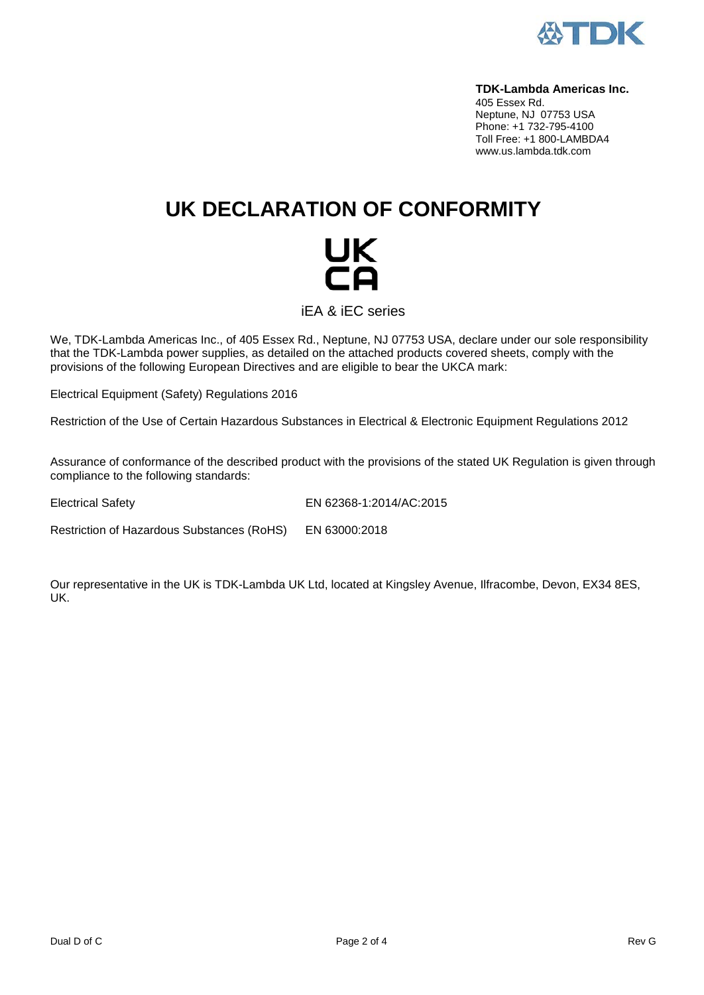

#### **TDK-Lambda Americas Inc.**

405 Essex Rd. Neptune, NJ 07753 USA Phone: +1 732-795-4100 Toll Free: +1 800-LAMBDA4 www.us.lambda.tdk.com

## **UK DECLARATION OF CONFORMITY**

# UK<br>CA

iEA & iEC series

We, TDK-Lambda Americas Inc., of 405 Essex Rd., Neptune, NJ 07753 USA, declare under our sole responsibility that the TDK-Lambda power supplies, as detailed on the attached products covered sheets, comply with the provisions of the following European Directives and are eligible to bear the UKCA mark:

Electrical Equipment (Safety) Regulations 2016

Restriction of the Use of Certain Hazardous Substances in Electrical & Electronic Equipment Regulations 2012

Assurance of conformance of the described product with the provisions of the stated UK Regulation is given through compliance to the following standards:

Electrical Safety EN 62368-1:2014/AC:2015

Restriction of Hazardous Substances (RoHS) EN 63000:2018

Our representative in the UK is TDK-Lambda UK Ltd, located at Kingsley Avenue, Ilfracombe, Devon, EX34 8ES, UK.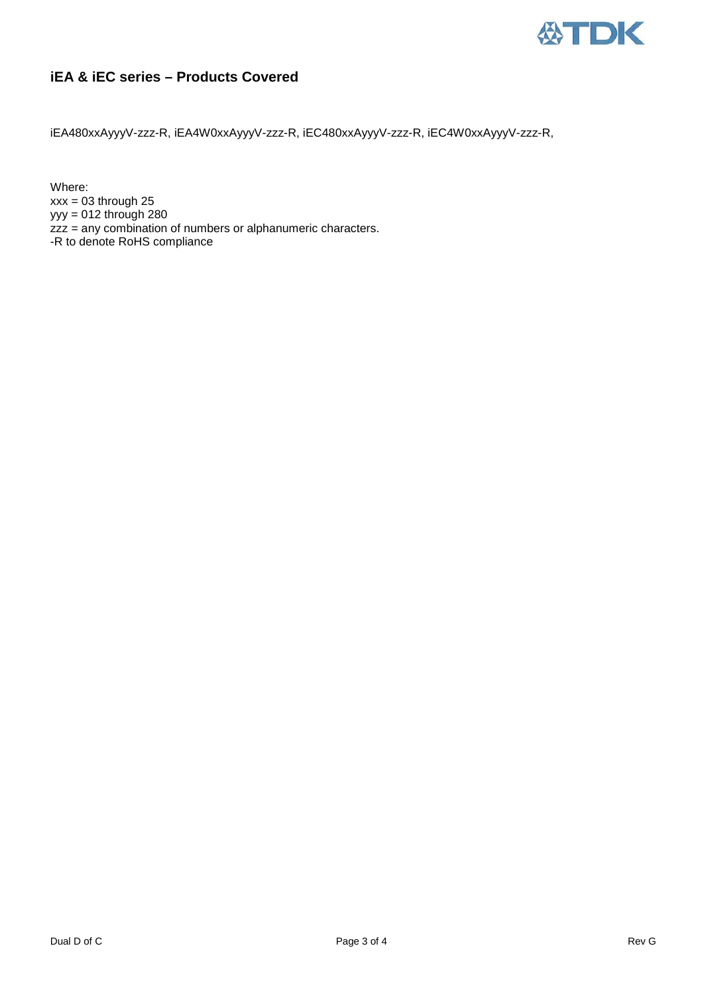

### **iEA & iEC series – Products Covered**

iEA480xxAyyyV-zzz-R, iEA4W0xxAyyyV-zzz-R, iEC480xxAyyyV-zzz-R, iEC4W0xxAyyyV-zzz-R,

Where:  $xxx = 03$  through 25  $yyy = 012$  through 280 zzz = any combination of numbers or alphanumeric characters. -R to denote RoHS compliance